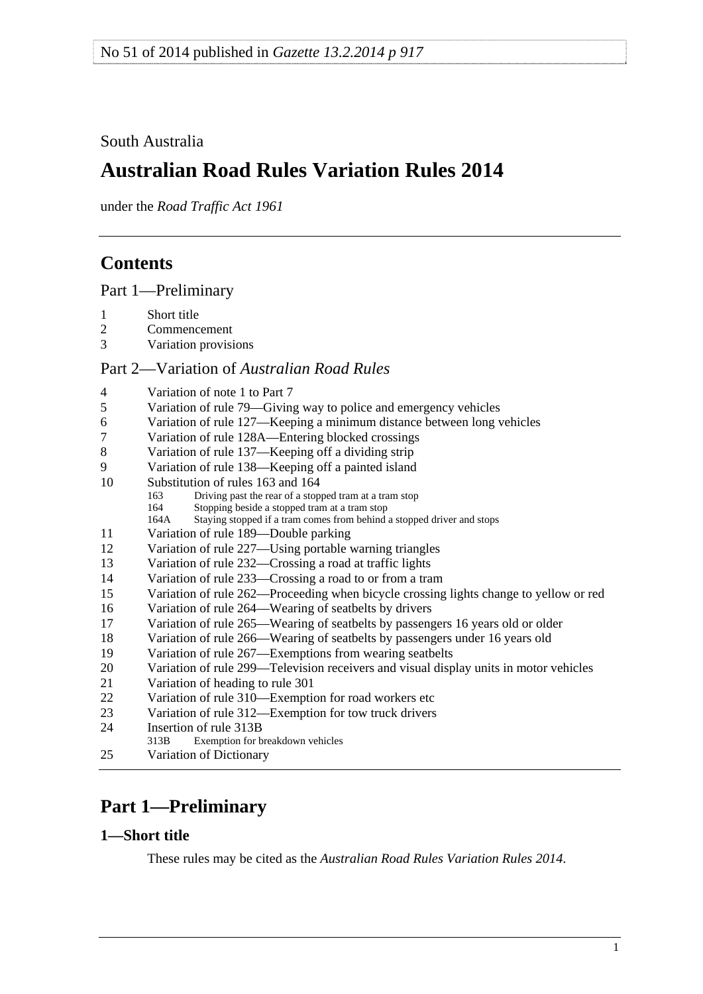## <span id="page-0-0"></span>South Australia

# **Australian Road Rules Variation Rules 2014**

under the *Road Traffic Act 1961*

# **Contents**

[Part 1—Preliminary](#page-0-0)

- 1 Short title<br>2 Commence
- **Commencement**
- [3 Variation provisions](#page-1-0)

### Part 2—Variation of *[Australian Road Rules](#page-1-0)*

| 4       | Variation of note 1 to Part 7                                                         |
|---------|---------------------------------------------------------------------------------------|
| 5       | Variation of rule 79—Giving way to police and emergency vehicles                      |
| 6       | Variation of rule 127—Keeping a minimum distance between long vehicles                |
| $\tau$  | Variation of rule 128A—Entering blocked crossings                                     |
| $\,8\,$ | Variation of rule 137—Keeping off a dividing strip                                    |
| 9       | Variation of rule 138—Keeping off a painted island                                    |
| 10      | Substitution of rules 163 and 164                                                     |
|         | Driving past the rear of a stopped tram at a tram stop<br>163                         |
|         | Stopping beside a stopped tram at a tram stop<br>164                                  |
|         | Staying stopped if a tram comes from behind a stopped driver and stops<br>164A        |
| 11      | Variation of rule 189-Double parking                                                  |
| 12      | Variation of rule 227—Using portable warning triangles                                |
| 13      | Variation of rule 232—Crossing a road at traffic lights                               |
| 14      | Variation of rule 233—Crossing a road to or from a tram                               |
| 15      | Variation of rule 262—Proceeding when bicycle crossing lights change to yellow or red |
| 16      | Variation of rule 264—Wearing of seatbelts by drivers                                 |
| 17      | Variation of rule 265—Wearing of seatbelts by passengers 16 years old or older        |
| 18      | Variation of rule 266—Wearing of seatbelts by passengers under 16 years old           |
| 19      | Variation of rule 267—Exemptions from wearing seatbelts                               |
| 20      | Variation of rule 299—Television receivers and visual display units in motor vehicles |
| 21      | Variation of heading to rule 301                                                      |
| 22      | Variation of rule 310-Exemption for road workers etc                                  |
| 23      | Variation of rule 312—Exemption for tow truck drivers                                 |
| 24      | Insertion of rule 313B                                                                |
|         | Exemption for breakdown vehicles<br>313B                                              |
| 25      | Variation of Dictionary                                                               |

# **Part 1—Preliminary**

## **1—Short title**

These rules may be cited as the *[Australian Road Rules Variation Rules 2014](http://www.legislation.sa.gov.au/index.aspx?action=legref&type=subordleg&legtitle=Australian%20Road%20Rules%20Variation%20Rules%202014)*.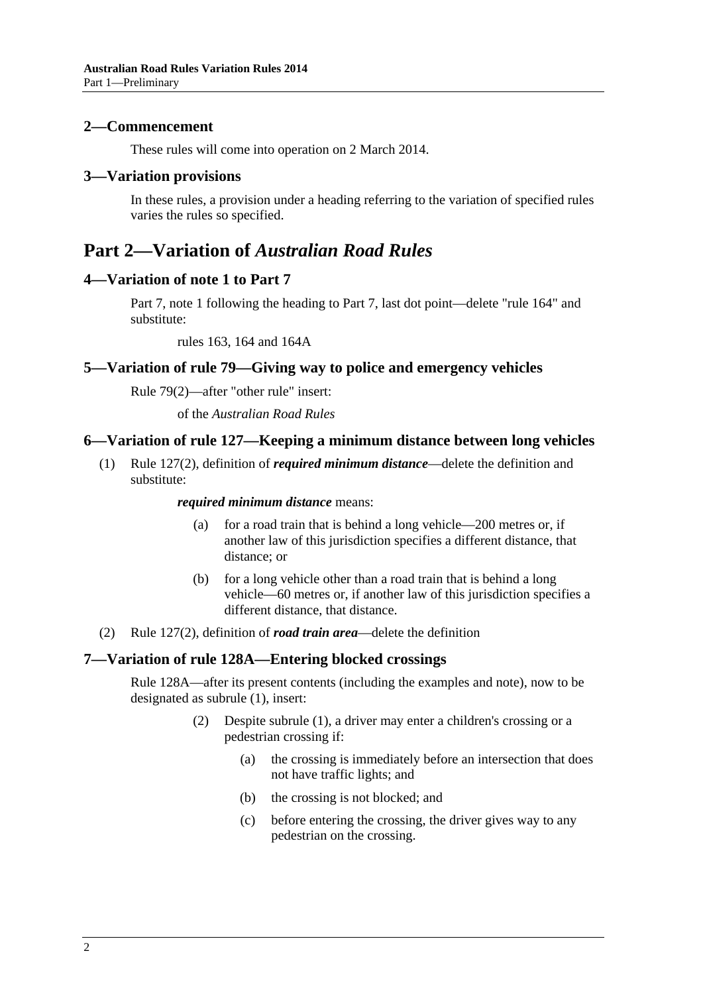#### <span id="page-1-0"></span>**2—Commencement**

These rules will come into operation on 2 March 2014.

#### **3—Variation provisions**

In these rules, a provision under a heading referring to the variation of specified rules varies the rules so specified.

## **Part 2—Variation of** *Australian Road Rules*

### **4—Variation of note 1 to Part 7**

Part 7, note 1 following the heading to Part 7, last dot point—delete "rule 164" and substitute:

rules 163, 164 and 164A

### **5—Variation of rule 79—Giving way to police and emergency vehicles**

Rule 79(2)—after "other rule" insert:

of the *[Australian Road Rules](http://www.legislation.sa.gov.au/index.aspx?action=legref&type=subordleg&legtitle=Australian%20Road%20Rules)*

### **6—Variation of rule 127—Keeping a minimum distance between long vehicles**

 (1) Rule 127(2), definition of *required minimum distance*—delete the definition and substitute:

#### *required minimum distance* means:

- (a) for a road train that is behind a long vehicle—200 metres or, if another law of this jurisdiction specifies a different distance, that distance; or
- (b) for a long vehicle other than a road train that is behind a long vehicle—60 metres or, if another law of this jurisdiction specifies a different distance, that distance.
- (2) Rule 127(2), definition of *road train area*—delete the definition

#### **7—Variation of rule 128A—Entering blocked crossings**

Rule 128A—after its present contents (including the examples and note), now to be designated as subrule (1), insert:

- (2) Despite subrule (1), a driver may enter a children's crossing or a pedestrian crossing if:
	- (a) the crossing is immediately before an intersection that does not have traffic lights; and
	- (b) the crossing is not blocked; and
	- (c) before entering the crossing, the driver gives way to any pedestrian on the crossing.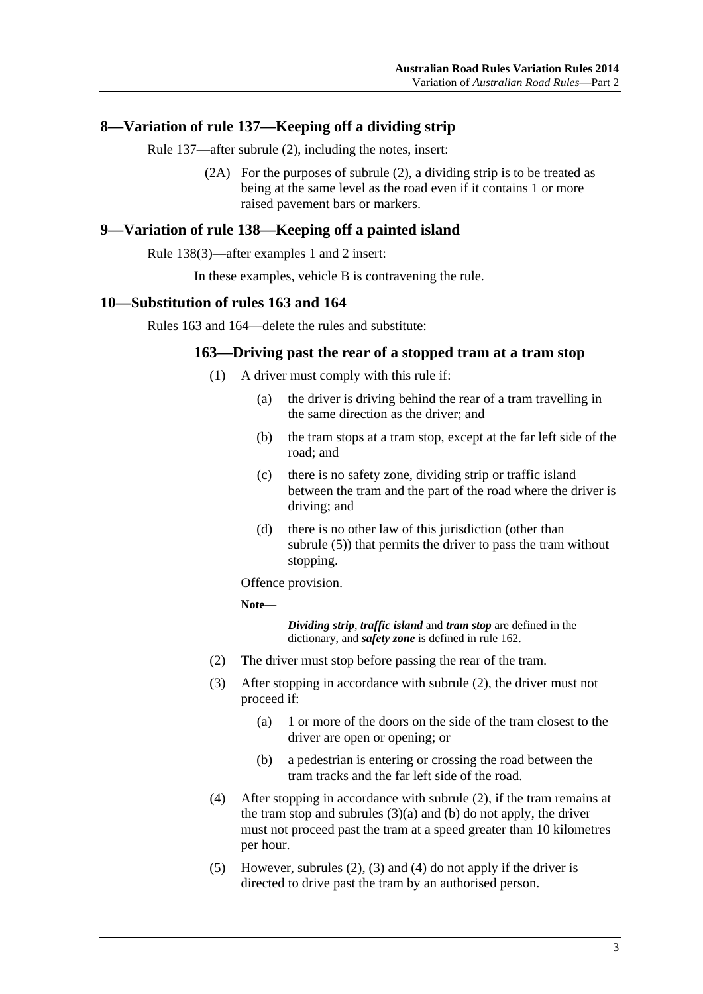### <span id="page-2-0"></span>**8—Variation of rule 137—Keeping off a dividing strip**

Rule 137—after subrule (2), including the notes, insert:

 (2A) For the purposes of subrule (2), a dividing strip is to be treated as being at the same level as the road even if it contains 1 or more raised pavement bars or markers.

### **9—Variation of rule 138—Keeping off a painted island**

Rule 138(3)—after examples 1 and 2 insert:

In these examples, vehicle B is contravening the rule.

#### **10—Substitution of rules 163 and 164**

Rules 163 and 164—delete the rules and substitute:

#### **163—Driving past the rear of a stopped tram at a tram stop**

- (1) A driver must comply with this rule if:
	- (a) the driver is driving behind the rear of a tram travelling in the same direction as the driver; and
	- (b) the tram stops at a tram stop, except at the far left side of the road; and
	- (c) there is no safety zone, dividing strip or traffic island between the tram and the part of the road where the driver is driving; and
	- (d) there is no other law of this jurisdiction (other than [subrule \(5\)](#page-2-0)) that permits the driver to pass the tram without stopping.

Offence provision.

**Note—** 

*Dividing strip*, *traffic island* and *tram stop* are defined in the dictionary, and *safety zone* is defined in rule 162.

- (2) The driver must stop before passing the rear of the tram.
- (3) After stopping in accordance with [subrule \(2\),](#page-2-0) the driver must not proceed if:
	- (a) 1 or more of the doors on the side of the tram closest to the driver are open or opening; or
	- (b) a pedestrian is entering or crossing the road between the tram tracks and the far left side of the road.
- (4) After stopping in accordance with [subrule \(2\),](#page-2-0) if the tram remains at the tram stop and subrules  $(3)(a)$  and  $(b)$  do not apply, the driver must not proceed past the tram at a speed greater than 10 kilometres per hour.
- (5) However, [subrules \(2\), \(3\)](#page-2-0) and [\(4\)](#page-2-0) do not apply if the driver is directed to drive past the tram by an authorised person.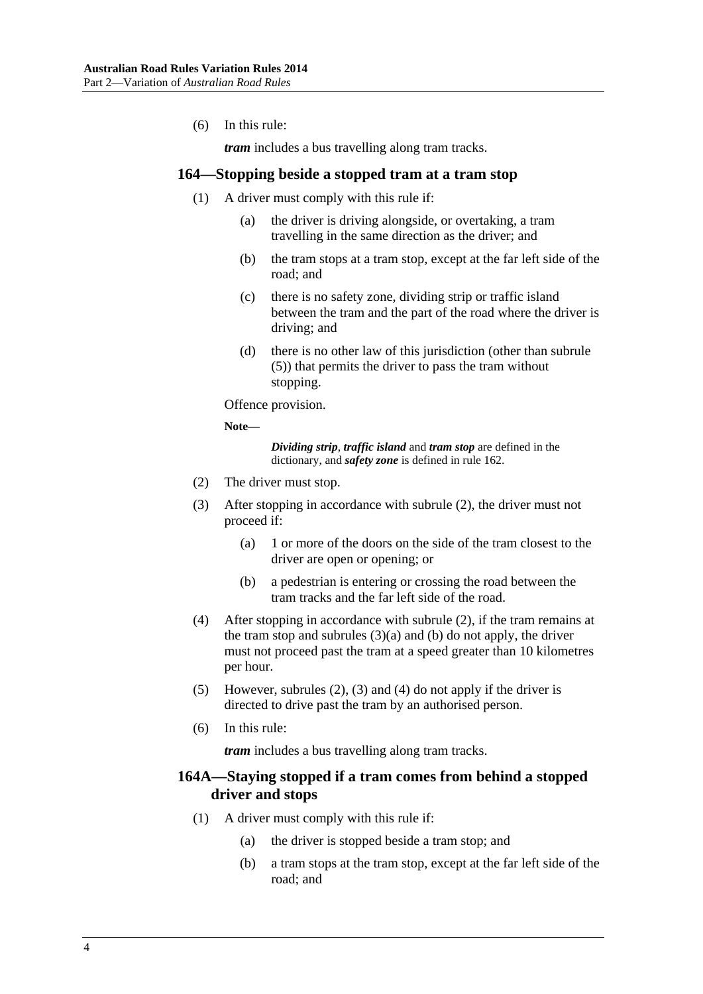<span id="page-3-0"></span>(6) In this rule:

*tram* includes a bus travelling along tram tracks.

#### **164—Stopping beside a stopped tram at a tram stop**

- (1) A driver must comply with this rule if:
	- (a) the driver is driving alongside, or overtaking, a tram travelling in the same direction as the driver; and
	- (b) the tram stops at a tram stop, except at the far left side of the road; and
	- (c) there is no safety zone, dividing strip or traffic island between the tram and the part of the road where the driver is driving; and
	- (d) there is no other law of this jurisdiction (other than [subrule](#page-3-0)  [\(5\)](#page-3-0)) that permits the driver to pass the tram without stopping.

Offence provision.

**Note—** 

*Dividing strip*, *traffic island* and *tram stop* are defined in the dictionary, and *safety zone* is defined in rule 162.

- (2) The driver must stop.
- (3) After stopping in accordance with [subrule \(2\),](#page-3-0) the driver must not proceed if:
	- (a) 1 or more of the doors on the side of the tram closest to the driver are open or opening; or
	- (b) a pedestrian is entering or crossing the road between the tram tracks and the far left side of the road.
- (4) After stopping in accordance with [subrule \(2\),](#page-3-0) if the tram remains at the tram stop and subrules  $(3)(a)$  and  $(b)$  do not apply, the driver must not proceed past the tram at a speed greater than 10 kilometres per hour.
- (5) However, [subrules \(2\), \(3\)](#page-3-0) and [\(4\)](#page-3-0) do not apply if the driver is directed to drive past the tram by an authorised person.
- (6) In this rule:

*tram* includes a bus travelling along tram tracks.

### **164A—Staying stopped if a tram comes from behind a stopped driver and stops**

- (1) A driver must comply with this rule if:
	- (a) the driver is stopped beside a tram stop; and
	- (b) a tram stops at the tram stop, except at the far left side of the road; and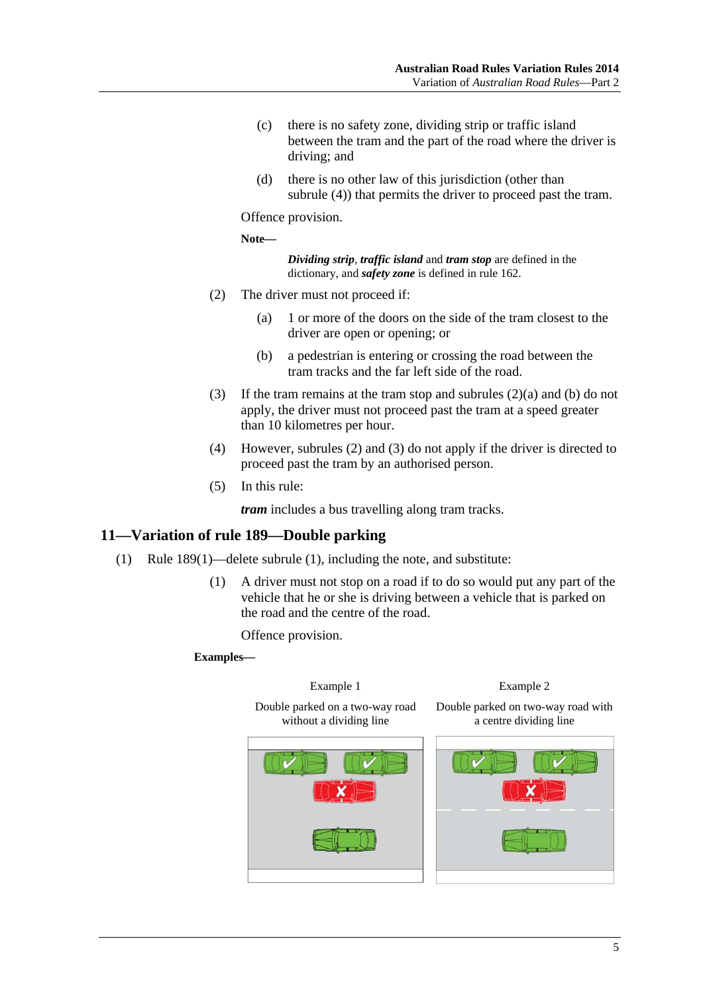- <span id="page-4-0"></span> (c) there is no safety zone, dividing strip or traffic island between the tram and the part of the road where the driver is driving; and
- (d) there is no other law of this jurisdiction (other than [subrule \(4\)](#page-4-0)) that permits the driver to proceed past the tram.

Offence provision.

**Note—** 

*Dividing strip*, *traffic island* and *tram stop* are defined in the dictionary, and *safety zone* is defined in rule 162.

- (2) The driver must not proceed if:
	- (a) 1 or more of the doors on the side of the tram closest to the driver are open or opening; or
	- (b) a pedestrian is entering or crossing the road between the tram tracks and the far left side of the road.
- (3) If the tram remains at the tram stop and [subrules \(2\)\(a\)](#page-4-0) and [\(b\)](#page-4-0) do not apply, the driver must not proceed past the tram at a speed greater than 10 kilometres per hour.
- (4) However, [subrules \(2\)](#page-4-0) and [\(3\)](#page-4-0) do not apply if the driver is directed to proceed past the tram by an authorised person.
- (5) In this rule:

*tram* includes a bus travelling along tram tracks.

#### **11—Variation of rule 189—Double parking**

- (1) Rule 189(1)—delete subrule (1), including the note, and substitute:
	- (1) A driver must not stop on a road if to do so would put any part of the vehicle that he or she is driving between a vehicle that is parked on the road and the centre of the road.

Offence provision.

**Examples—** 

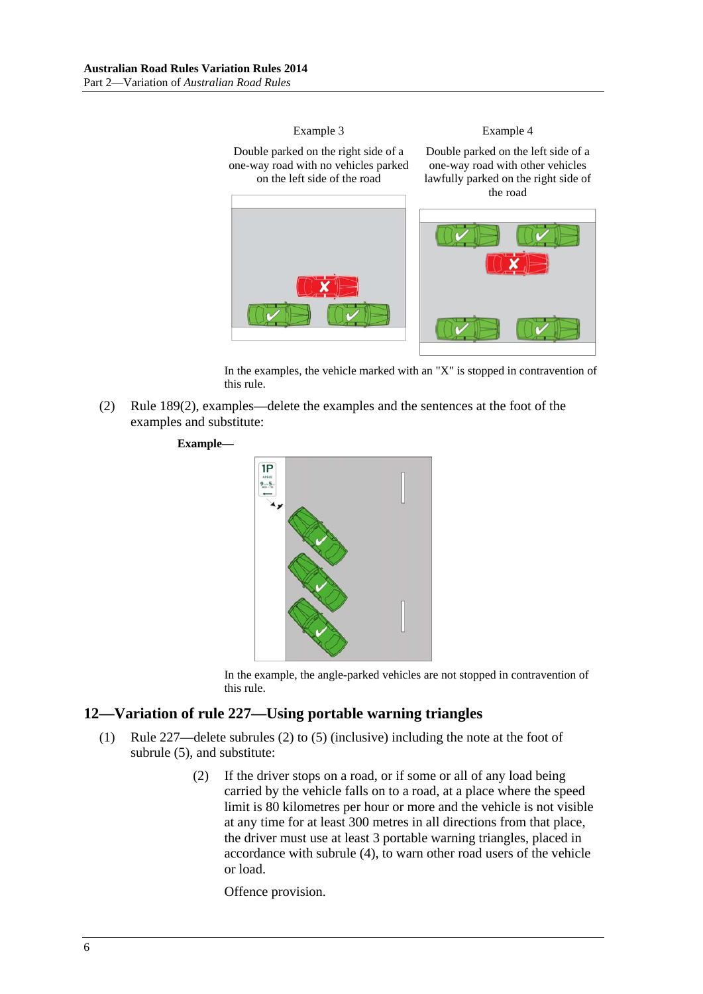<span id="page-5-0"></span>

In the examples, the vehicle marked with an "X" is stopped in contravention of this rule.

 (2) Rule 189(2), examples—delete the examples and the sentences at the foot of the examples and substitute:

#### **Example—**



In the example, the angle-parked vehicles are not stopped in contravention of this rule.

### **12—Variation of rule 227—Using portable warning triangles**

- (1) Rule 227—delete subrules (2) to (5) (inclusive) including the note at the foot of subrule (5), and substitute:
	- (2) If the driver stops on a road, or if some or all of any load being carried by the vehicle falls on to a road, at a place where the speed limit is 80 kilometres per hour or more and the vehicle is not visible at any time for at least 300 metres in all directions from that place, the driver must use at least 3 portable warning triangles, placed in accordance with [subrule \(4\)](#page-6-0), to warn other road users of the vehicle or load.

Offence provision.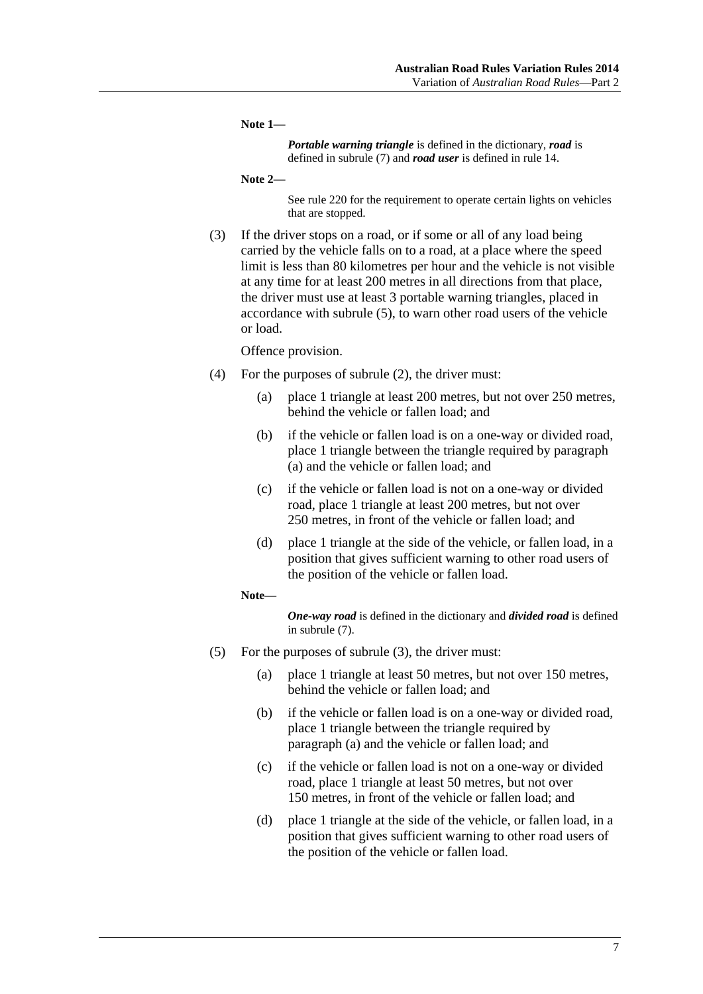<span id="page-6-0"></span>**Note 1—** 

*Portable warning triangle* is defined in the dictionary, *road* is defined in subrule (7) and *road user* is defined in rule 14.

```
Note 2—
```
See rule 220 for the requirement to operate certain lights on vehicles that are stopped.

 (3) If the driver stops on a road, or if some or all of any load being carried by the vehicle falls on to a road, at a place where the speed limit is less than 80 kilometres per hour and the vehicle is not visible at any time for at least 200 metres in all directions from that place, the driver must use at least 3 portable warning triangles, placed in accordance with [subrule \(5\)](#page-6-0), to warn other road users of the vehicle or load.

Offence provision.

- (4) For the purposes of [subrule \(2\)](#page-5-0), the driver must:
	- (a) place 1 triangle at least 200 metres, but not over 250 metres, behind the vehicle or fallen load; and
	- (b) if the vehicle or fallen load is on a one-way or divided road, place 1 triangle between the triangle required by [paragraph](#page-6-0)  [\(a\)](#page-6-0) and the vehicle or fallen load; and
	- (c) if the vehicle or fallen load is not on a one-way or divided road, place 1 triangle at least 200 metres, but not over 250 metres, in front of the vehicle or fallen load; and
	- (d) place 1 triangle at the side of the vehicle, or fallen load, in a position that gives sufficient warning to other road users of the position of the vehicle or fallen load.

#### **Note—**

*One-way road* is defined in the dictionary and *divided road* is defined in [subrule \(7\).](#page-7-0)

- (5) For the purposes of [subrule \(3\)](#page-6-0), the driver must:
	- (a) place 1 triangle at least 50 metres, but not over 150 metres, behind the vehicle or fallen load; and
	- (b) if the vehicle or fallen load is on a one-way or divided road, place 1 triangle between the triangle required by [paragraph \(a\)](#page-6-0) and the vehicle or fallen load; and
	- (c) if the vehicle or fallen load is not on a one-way or divided road, place 1 triangle at least 50 metres, but not over 150 metres, in front of the vehicle or fallen load; and
	- (d) place 1 triangle at the side of the vehicle, or fallen load, in a position that gives sufficient warning to other road users of the position of the vehicle or fallen load.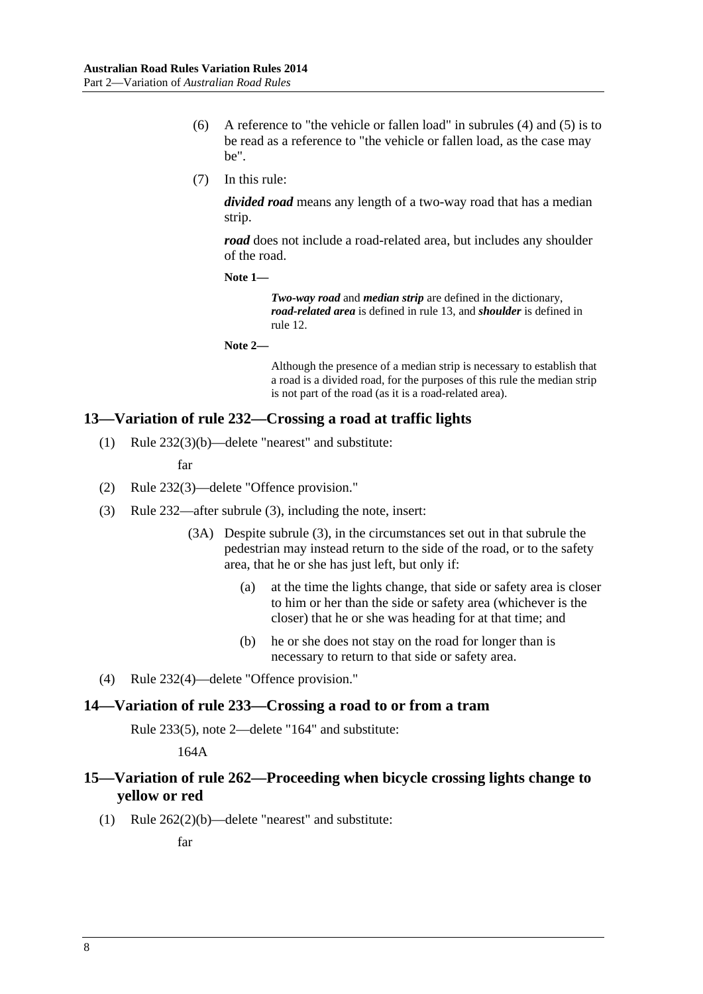- <span id="page-7-0"></span> (6) A reference to "the vehicle or fallen load" in [subrules \(4\)](#page-6-0) and [\(5\)](#page-6-0) is to be read as a reference to "the vehicle or fallen load, as the case may be".
- (7) In this rule:

*divided road* means any length of a two-way road that has a median strip.

*road* does not include a road-related area, but includes any shoulder of the road.

**Note 1—** 

*Two-way road* and *median strip* are defined in the dictionary, *road-related area* is defined in rule 13, and *shoulder* is defined in rule 12.

**Note 2—** 

Although the presence of a median strip is necessary to establish that a road is a divided road, for the purposes of this rule the median strip is not part of the road (as it is a road-related area).

### **13—Variation of rule 232—Crossing a road at traffic lights**

(1) Rule 232(3)(b)—delete "nearest" and substitute:

far

- (2) Rule 232(3)—delete "Offence provision."
- (3) Rule 232—after subrule (3), including the note, insert:
	- (3A) Despite subrule (3), in the circumstances set out in that subrule the pedestrian may instead return to the side of the road, or to the safety area, that he or she has just left, but only if:
		- (a) at the time the lights change, that side or safety area is closer to him or her than the side or safety area (whichever is the closer) that he or she was heading for at that time; and
		- (b) he or she does not stay on the road for longer than is necessary to return to that side or safety area.
- (4) Rule 232(4)—delete "Offence provision."

#### **14—Variation of rule 233—Crossing a road to or from a tram**

Rule 233(5), note 2—delete "164" and substitute:

164A

### **15—Variation of rule 262—Proceeding when bicycle crossing lights change to yellow or red**

(1) Rule 262(2)(b)—delete "nearest" and substitute:

far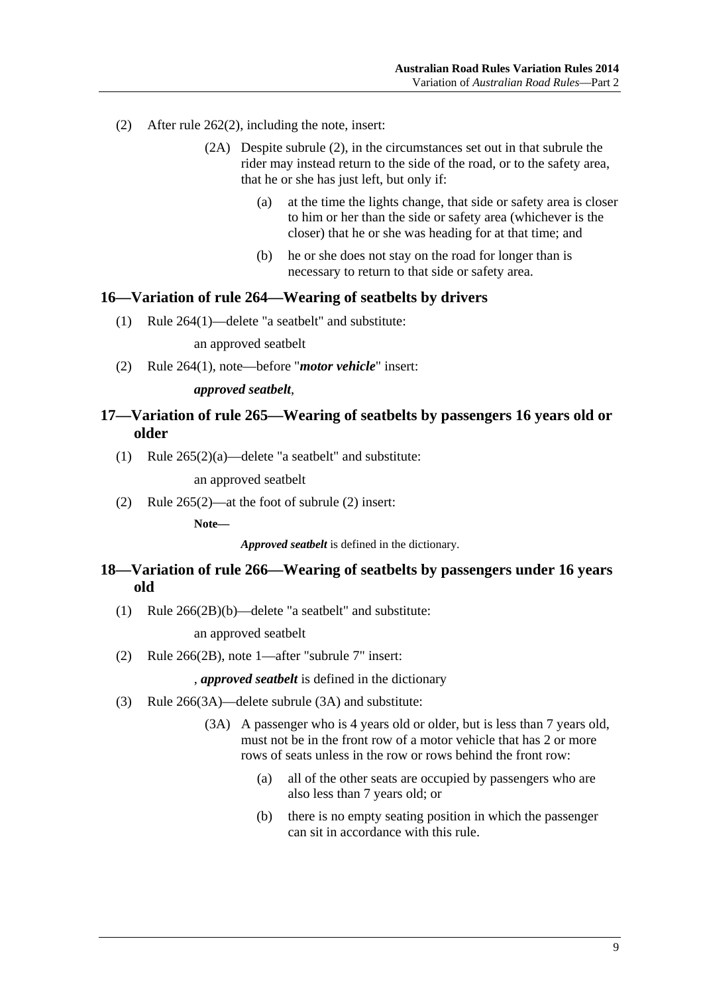- <span id="page-8-0"></span> (2) After rule 262(2), including the note, insert:
	- (2A) Despite subrule (2), in the circumstances set out in that subrule the rider may instead return to the side of the road, or to the safety area, that he or she has just left, but only if:
		- (a) at the time the lights change, that side or safety area is closer to him or her than the side or safety area (whichever is the closer) that he or she was heading for at that time; and
		- (b) he or she does not stay on the road for longer than is necessary to return to that side or safety area.

#### **16—Variation of rule 264—Wearing of seatbelts by drivers**

(1) Rule 264(1)—delete "a seatbelt" and substitute:

an approved seatbelt

(2) Rule 264(1), note—before "*motor vehicle*" insert:

#### *approved seatbelt*,

### **17—Variation of rule 265—Wearing of seatbelts by passengers 16 years old or older**

(1) Rule  $265(2)(a)$ —delete "a seatbelt" and substitute:

an approved seatbelt

(2) Rule 265(2)—at the foot of subrule (2) insert:

**Note—** 

*Approved seatbelt* is defined in the dictionary.

### **18—Variation of rule 266—Wearing of seatbelts by passengers under 16 years old**

(1) Rule 266(2B)(b)—delete "a seatbelt" and substitute:

an approved seatbelt

(2) Rule 266(2B), note 1—after "subrule 7" insert:

, *approved seatbelt* is defined in the dictionary

- (3) Rule 266(3A)—delete subrule (3A) and substitute:
	- (3A) A passenger who is 4 years old or older, but is less than 7 years old, must not be in the front row of a motor vehicle that has 2 or more rows of seats unless in the row or rows behind the front row:
		- (a) all of the other seats are occupied by passengers who are also less than 7 years old; or
		- (b) there is no empty seating position in which the passenger can sit in accordance with this rule.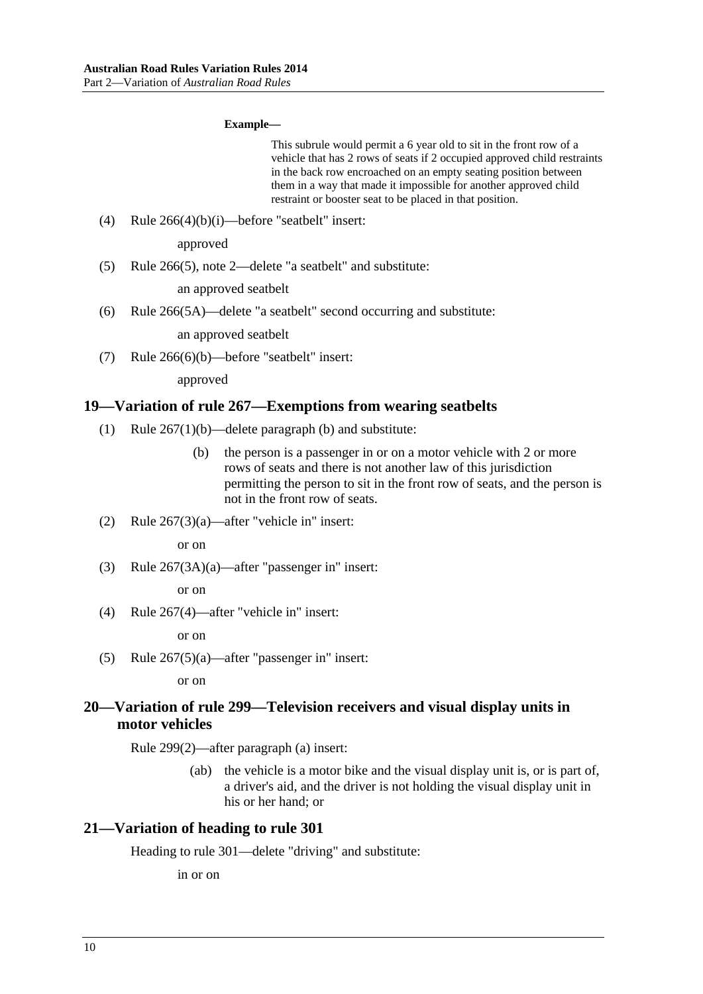#### **Example—**

This subrule would permit a 6 year old to sit in the front row of a vehicle that has 2 rows of seats if 2 occupied approved child restraints in the back row encroached on an empty seating position between them in a way that made it impossible for another approved child restraint or booster seat to be placed in that position.

<span id="page-9-0"></span>(4) Rule  $266(4)(b)(i)$ —before "seatbelt" insert:

approved

(5) Rule 266(5), note 2—delete "a seatbelt" and substitute:

an approved seatbelt

(6) Rule 266(5A)—delete "a seatbelt" second occurring and substitute:

an approved seatbelt

(7) Rule 266(6)(b)—before "seatbelt" insert:

approved

#### **19—Variation of rule 267—Exemptions from wearing seatbelts**

- (1) Rule 267(1)(b)—delete paragraph (b) and substitute:
	- (b) the person is a passenger in or on a motor vehicle with 2 or more rows of seats and there is not another law of this jurisdiction permitting the person to sit in the front row of seats, and the person is not in the front row of seats.
- (2) Rule 267(3)(a)—after "vehicle in" insert:

or on

(3) Rule 267(3A)(a)—after "passenger in" insert:

or on

(4) Rule 267(4)—after "vehicle in" insert:

or on

(5) Rule 267(5)(a)—after "passenger in" insert:

or on

### **20—Variation of rule 299—Television receivers and visual display units in motor vehicles**

Rule 299(2)—after paragraph (a) insert:

 (ab) the vehicle is a motor bike and the visual display unit is, or is part of, a driver's aid, and the driver is not holding the visual display unit in his or her hand; or

#### **21—Variation of heading to rule 301**

Heading to rule 301—delete "driving" and substitute:

in or on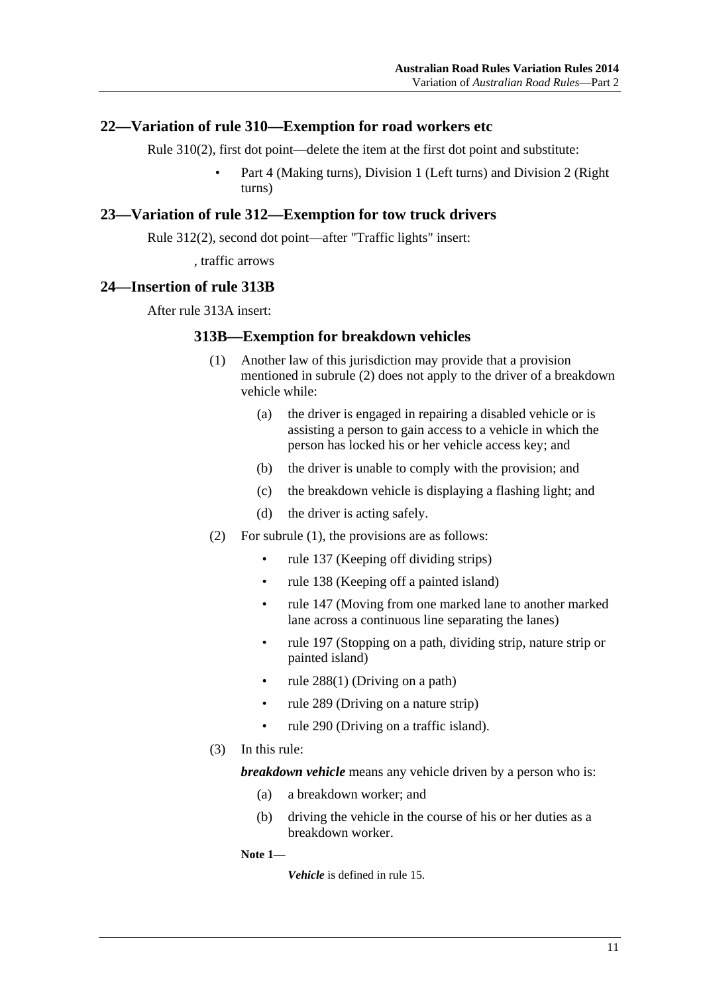### <span id="page-10-0"></span>**22—Variation of rule 310—Exemption for road workers etc**

Rule 310(2), first dot point—delete the item at the first dot point and substitute:

 • Part 4 (Making turns), Division 1 (Left turns) and Division 2 (Right turns)

### **23—Variation of rule 312—Exemption for tow truck drivers**

Rule 312(2), second dot point—after "Traffic lights" insert:

, traffic arrows

### **24—Insertion of rule 313B**

After rule 313A insert:

#### **313B—Exemption for breakdown vehicles**

- (1) Another law of this jurisdiction may provide that a provision mentioned in [subrule \(2\)](#page-10-0) does not apply to the driver of a breakdown vehicle while:
	- (a) the driver is engaged in repairing a disabled vehicle or is assisting a person to gain access to a vehicle in which the person has locked his or her vehicle access key; and
	- (b) the driver is unable to comply with the provision; and
	- (c) the breakdown vehicle is displaying a flashing light; and
	- (d) the driver is acting safely.
- (2) For [subrule \(1\)](#page-10-0), the provisions are as follows:
	- rule 137 (Keeping off dividing strips)
	- rule 138 (Keeping off a painted island)
	- rule 147 (Moving from one marked lane to another marked lane across a continuous line separating the lanes)
	- rule 197 (Stopping on a path, dividing strip, nature strip or painted island)
	- rule 288(1) (Driving on a path)
	- rule 289 (Driving on a nature strip)
	- rule 290 (Driving on a traffic island).
- (3) In this rule:

*breakdown vehicle* means any vehicle driven by a person who is:

- (a) a breakdown worker; and
- (b) driving the vehicle in the course of his or her duties as a breakdown worker.

**Note 1—** 

*Vehicle* is defined in rule 15.